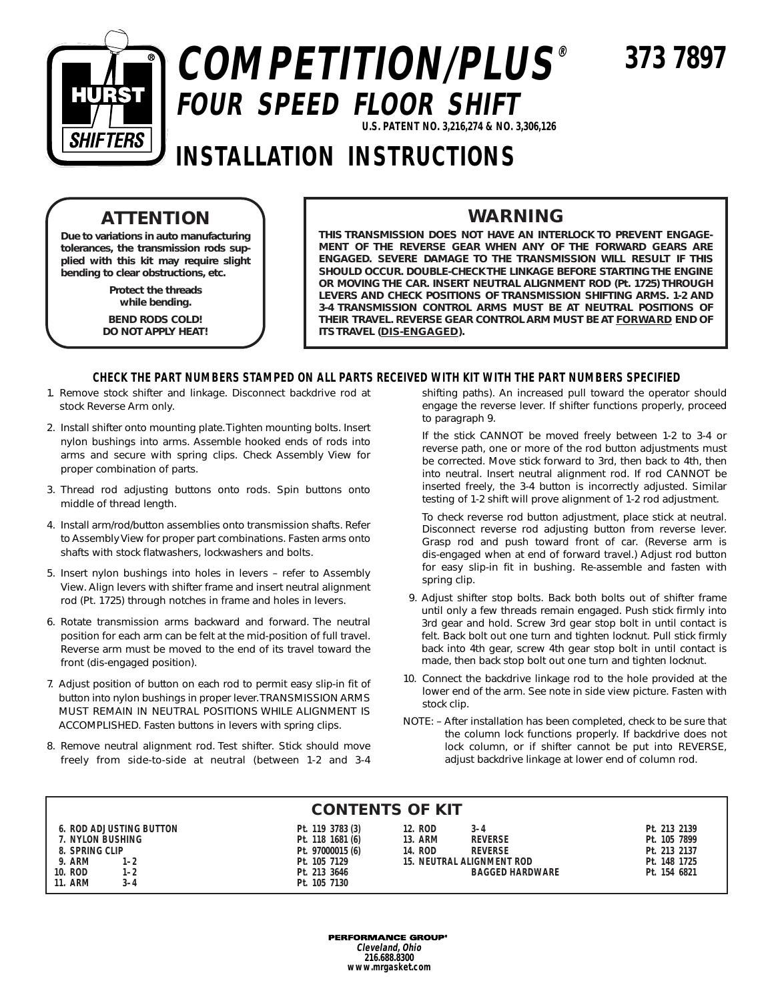

# **COMPETITION/PLUS® FOUR SPEED FLOOR SHIFT U.S. PATENT NO. 3,216,274 & NO. 3,306,126**

**373 7897**

## **INSTALLATION INSTRUCTIONS**

### **ATTENTION**

**Due to variations in auto manufacturing tolerances, the transmission rods supplied with this kit may require slight bending to clear obstructions, etc.**

> **Protect the threads while bending.**

**BEND RODS COLD! DO NOT APPLY HEAT!**

### **WARNING**

**THIS TRANSMISSION DOES NOT HAVE AN INTERLOCK TO PREVENT ENGAGE-MENT OF THE REVERSE GEAR WHEN ANY OF THE FORWARD GEARS ARE ENGAGED. SEVERE DAMAGE TO THE TRANSMISSION WILL RESULT IF THIS SHOULD OCCUR. DOUBLE-CHECK THE LINKAGE BEFORE STARTING THE ENGINE OR MOVING THE CAR. INSERT NEUTRAL ALIGNMENT ROD (Pt. 1725) THROUGH LEVERS AND CHECK POSITIONS OF TRANSMISSION SHIFTING ARMS. 1-2 AND 3-4 TRANSMISSION CONTROL ARMS MUST BE AT NEUTRAL POSITIONS OF THEIR TRAVEL. REVERSE GEAR CONTROL ARM MUST BE AT FORWARD END OF ITS TRAVEL (DIS-ENGAGED).**

#### **CHECK THE PART NUMBERS STAMPED ON ALL PARTS RECEIVED WITH KIT WITH THE PART NUMBERS SPECIFIED**

- 1. Remove stock shifter and linkage. Disconnect backdrive rod at stock Reverse Arm only.
- 2. Install shifter onto mounting plate. Tighten mounting bolts. Insert nylon bushings into arms. Assemble hooked ends of rods into arms and secure with spring clips. Check Assembly View for proper combination of parts.
- 3. Thread rod adjusting buttons onto rods. Spin buttons onto middle of thread length.
- 4. Install arm/rod/button assemblies onto transmission shafts. Refer to Assembly View for proper part combinations. Fasten arms onto shafts with stock flatwashers, lockwashers and bolts.
- 5. Insert nylon bushings into holes in levers refer to Assembly View. Align levers with shifter frame and insert neutral alignment rod (Pt. 1725) through notches in frame and holes in levers.
- 6. Rotate transmission arms backward and forward. The neutral position for each arm can be felt at the mid-position of full travel. Reverse arm must be moved to the end of its travel toward the front (dis-engaged position).
- 7. Adjust position of button on each rod to permit easy slip-in fit of button into nylon bushings in proper lever. TRANSMISSION ARMS MUST REMAIN IN NEUTRAL POSITIONS WHILE ALIGNMENT IS ACCOMPLISHED. Fasten buttons in levers with spring clips.
- 8. Remove neutral alignment rod. Test shifter. Stick should move freely from side-to-side at neutral (between 1-2 and 3-4

shifting paths). An increased pull toward the operator should engage the reverse lever. If shifter functions properly, proceed to paragraph 9.

If the stick CANNOT be moved freely between 1-2 to 3-4 or reverse path, one or more of the rod button adjustments must be corrected. Move stick forward to 3rd, then back to 4th, then into neutral. Insert neutral alignment rod. If rod CANNOT be inserted freely, the 3-4 button is incorrectly adjusted. Similar testing of 1-2 shift will prove alignment of 1-2 rod adjustment.

To check reverse rod button adjustment, place stick at neutral. Disconnect reverse rod adjusting button from reverse lever. Grasp rod and push toward front of car. (Reverse arm is dis-engaged when at end of forward travel.) Adjust rod button for easy slip-in fit in bushing. Re-assemble and fasten with spring clip.

- 9. Adjust shifter stop bolts. Back both bolts out of shifter frame until only a few threads remain engaged. Push stick firmly into 3rd gear and hold. Screw 3rd gear stop bolt in until contact is felt. Back bolt out one turn and tighten locknut. Pull stick firmly back into 4th gear, screw 4th gear stop bolt in until contact is made, then back stop bolt out one turn and tighten locknut.
- 10. Connect the backdrive linkage rod to the hole provided at the lower end of the arm. See note in side view picture. Fasten with stock clip.
- NOTE: After installation has been completed, check to be sure that the column lock functions properly. If backdrive does not lock column, or if shifter cannot be put into REVERSE, adjust backdrive linkage at lower end of column rod.

#### **CONTENTS OF KIT**

| <b>6. ROD ADJUSTING BUTTON</b> | Pt. 119 3783 (3) | 12. ROD<br>$3 - 4$               | Pt. 213 2139 |
|--------------------------------|------------------|----------------------------------|--------------|
| 7. NYLON BUSHING               | Pt. 118 1681 (6) | <b>13. ARM</b><br><b>REVERSE</b> | Pt. 105 7899 |
| 8. SPRING CLIP                 | Pt. 97000015 (6) | 14. ROD<br><b>REVERSE</b>        | Pt. 213 2137 |
| 9. ARM<br>$1 - 2$              | Pt. 105 7129     | 15. NEUTRAL ALIGNMENT ROD        | Pt. 148 1725 |
| 10. ROD<br>$1 - 2$             | Pt. 213 3646     | <b>BAGGED HARDWARE</b>           | Pt. 154 6821 |
| <b>11. ARM</b><br>$3 - 4$      | Pt. 105 7130     |                                  |              |

**PERFORMANCE GROUP® Cleveland, Ohio 216.688.8300 www.mrgasket.com**